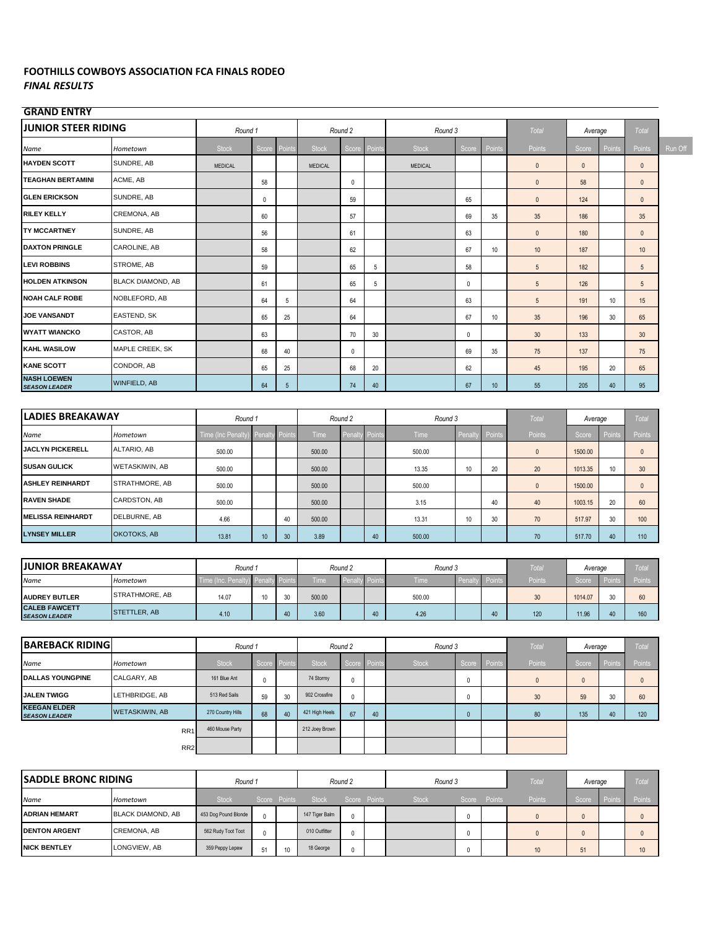## **FOOTHILLS COWBOYS ASSOCIATION FCA FINALS RODEO** *FINAL RESULTS*

## **GRAND ENTRY**

| <b>JUNIOR STEER RIDING</b>                 |                          | Round 1           |             |                |                | Round 2     |        | Round 3        |             |                 | <b>Total</b>    | Average      |        | Total           |         |
|--------------------------------------------|--------------------------|-------------------|-------------|----------------|----------------|-------------|--------|----------------|-------------|-----------------|-----------------|--------------|--------|-----------------|---------|
| Name                                       | Hometown                 | Stock             | Score       | Points         | <b>Stock</b>   | Score       | Points | <b>Stock</b>   | Score       | Points          | Points          | Score        | Points | Points          | Run Off |
| <b>HAYDEN SCOTT</b>                        | SUNDRE, AB               | MEDICAL           |             |                | <b>MEDICAL</b> |             |        | <b>MEDICAL</b> |             |                 | $\mathbf 0$     | $\mathbf{0}$ |        | $\mathbf{0}$    |         |
| <b>TEAGHAN BERTAMINI</b>                   | ACME, AB                 |                   | 58          |                |                | $\mathbf 0$ |        |                |             |                 | $\mathbf 0$     | 58           |        | $\mathbf{0}$    |         |
| <b>GLEN ERICKSON</b>                       | SUNDRE, AB               |                   | $\mathbf 0$ |                |                | 59          |        |                | 65          |                 | $\mathbf{0}$    | 124          |        | $\mathbf{0}$    |         |
| <b>RILEY KELLY</b>                         | CREMONA, AB              |                   | 60          |                |                | 57          |        |                | 69          | 35              | 35              | 186          |        | 35              |         |
| <b>TY MCCARTNEY</b>                        | SUNDRE, AB               |                   | 56          |                |                | 61          |        |                | 63          |                 | $\mathbf 0$     | 180          |        | $\mathbf{0}$    |         |
| <b>DAXTON PRINGLE</b>                      | CAROLINE, AB             |                   | 58          |                |                | 62          |        |                | 67          | 10 <sup>°</sup> | 10              | 187          |        | 10              |         |
| <b>LEVI ROBBINS</b>                        | STROME, AB               |                   | 59          |                |                | 65          | 5      |                | 58          |                 | $5\phantom{.0}$ | 182          |        | 5               |         |
| <b>HOLDEN ATKINSON</b>                     | <b>BLACK DIAMOND, AB</b> |                   | 61          |                |                | 65          | 5      |                | 0           |                 | $5\phantom{.0}$ | 126          |        | 5               |         |
| <b>NOAH CALF ROBE</b>                      | NOBLEFORD, AB            |                   | 64          | 5              |                | 64          |        |                | 63          |                 | $5\phantom{.0}$ | 191          | 10     | 15              |         |
| <b>JOE VANSANDT</b>                        | EASTEND, SK              |                   | 65          | 25             |                | 64          |        |                | 67          | 10              | 35              | 196          | 30     | 65              |         |
| <b>WYATT WIANCKO</b>                       | CASTOR, AB               |                   | 63          |                |                | 70          | 30     |                | $\mathbf 0$ |                 | 30              | 133          |        | 30 <sup>°</sup> |         |
| <b>KAHL WASILOW</b>                        | MAPLE CREEK, SK          |                   | 68          | 40             |                | $\mathbf 0$ |        |                | 69          | 35              | 75              | 137          |        | 75              |         |
| <b>KANE SCOTT</b>                          | CONDOR, AB               |                   | 65          | 25             |                | 68          | 20     |                | 62          |                 | 45              | 195          | 20     | 65              |         |
| <b>NASH LOEWEN</b><br><b>SEASON LEADER</b> | <b>WINFIELD, AB</b>      |                   | 64          | 5 <sup>5</sup> |                | 74          | 40     |                | 67          | 10              | 55              | 205          | 40     | 95              |         |
|                                            |                          |                   |             |                |                |             |        |                |             |                 |                 |              |        |                 |         |
| <b>LADIES BREAKAWAY</b>                    |                          | Round 1           |             |                |                | Round 2     |        | Round 3        |             |                 | <b>Total</b>    | Average      |        | Total           |         |
| Name                                       | Hometown                 | Time (Inc Penalty | Penalt      | Points         | Time           | Penalt      | Point  | Time           | Penalt      | Points          | Points          | Score        | Points | Points          |         |
| JACLYN PICKERELL                           | ALTARIO, AB              | 500.00            |             |                | 500.00         |             |        | 500.00         |             |                 | $\mathbf 0$     | 1500.00      |        | $\mathbf{0}$    |         |
| <b>SUSAN GULICK</b>                        | <b>WETASKIWIN, AB</b>    | 500.00            |             |                | 500.00         |             |        | 13.35          | 10          | 20              | 20              | 1013.35      | 10     | 30 <sup>°</sup> |         |
| <b>ASHLEY REINHARDT</b>                    | STRATHMORE, AB           | 500.00            |             |                | 500.00         |             |        | 500.00         |             |                 | $\mathsf{n}$    | 1500.00      |        | $\mathsf{n}$    |         |

| <b>ASHLEY REINHARDT</b>  | <b>STRATHMORE, AB</b> | 500.00 |    | 500.00 |    | 500.00 |    |    | 1500.00 |    |     |
|--------------------------|-----------------------|--------|----|--------|----|--------|----|----|---------|----|-----|
| <b>RAVEN SHADE</b>       | CARDSTON, AB          | 500.00 |    | 500.00 |    | 3.15   | 40 | 40 | 1003.15 | 20 | 60  |
| <b>MELISSA REINHARDT</b> | DELBURNE, AB          | 4.66   |    | 500.00 |    | 13.31  | 20 | 70 | 517.97  | 30 | 100 |
| <b>LYNSEY MILLER</b>     | <b>OKOTOKS, AB</b>    | 13.81  | 10 | 3.89   | 40 | 500.00 |    | 70 | 517.70  | 40 | 110 |
|                          |                       |        |    |        |    |        |    |    |         |    |     |

| <b>JUNIOR BREAKAWAY</b>                      |                       | Round 1           |             |        |             | Round 2              | Round 3     |              | Tota   | Average |    | Tota          |
|----------------------------------------------|-----------------------|-------------------|-------------|--------|-------------|----------------------|-------------|--------------|--------|---------|----|---------------|
| Name                                         | Hometown              | Time (Inc. Penalt | <b>Pena</b> | v Poin | <b>Time</b> | Penalty <sup>P</sup> | <b>Time</b> | <b>Penal</b> | Points | Score   |    | <b>Points</b> |
| <b>AUDREY BUTLER</b>                         | <b>STRATHMORE, AB</b> | 14.07             |             |        | 500.00      |                      | 500.00      |              | 30     | 1014.07 | 20 | 60            |
| <b>CALEB FAWCETT</b><br><b>SEASON LEADER</b> | STETTLER, AB          | 4.10              |             |        | 3.60        |                      | 4.26        |              | 120    | 11.96   |    | 160           |

| <b>BAREBACK RIDING</b>                      |                       | Round 1           |              |                 |                | Round 2      |    | Round 3      |              |              | Total        | Average      |        | Total  |
|---------------------------------------------|-----------------------|-------------------|--------------|-----------------|----------------|--------------|----|--------------|--------------|--------------|--------------|--------------|--------|--------|
| Name                                        | Hometown              | <b>Stock</b>      | Score Points |                 | <b>Stock</b>   | Score Points |    | <b>Stock</b> |              | Score Points | Points       | Score        | Points | Points |
| <b>DALLAS YOUNGPINE</b>                     | CALGARY, AB           | 161 Blue Ant      | $\theta$     |                 | 74 Stormy      | 0            |    |              | 0            |              | $\mathbf{0}$ | $\mathbf{0}$ |        |        |
| <b>JALEN TWIGG</b>                          | LETHBRIDGE, AB        | 513 Red Sails     | 59           | 30 <sup>°</sup> | 902 Crossfire  | $\Omega$     |    |              | 0            |              | 30           | 59           | 30     | 60     |
| <b>KEEGAN ELDER</b><br><b>SEASON LEADER</b> | <b>WETASKIWIN, AB</b> | 270 Country Hills | 68           | 40              | 421 High Heels | 67           | 40 |              | $\mathbf{0}$ |              | 80           | 135          | 40     | 120    |
|                                             | RR <sub>1</sub>       | 460 Mouse Party   |              |                 | 212 Joey Brown |              |    |              |              |              |              |              |        |        |
|                                             | RR <sub>2</sub>       |                   |              |                 |                |              |    |              |              |              |              |              |        |        |

| <b>SADDLE BRONC RIDING</b> |                          | Round 1              |    |              |                | Round 2      | Round 3      |              | Total  | Average |             | Total  |
|----------------------------|--------------------------|----------------------|----|--------------|----------------|--------------|--------------|--------------|--------|---------|-------------|--------|
| Name                       | Hometown                 | <b>Stock</b>         |    | Score Points | Stock          | Score Points | <b>Stock</b> | Score Points | Points | Score   | <b>Poir</b> | Points |
| <b>ADRIAN HEMART</b>       | <b>BLACK DIAMOND, AB</b> | 453 Dog Pound Blonde |    |              | 147 Tiger Balm |              |              |              |        |         |             |        |
| <b>IDENTON ARGENT</b>      | <b>CREMONA, AB</b>       | 562 Rudy Toot Toot   |    |              | 010 Outfitter  |              |              |              |        |         |             |        |
| <b>NICK BENTLEY</b>        | LONGVIEW, AB             | 359 Peppy Lepew      | 51 | 10           | 18 George      |              |              |              | 10     | 51      |             | 10     |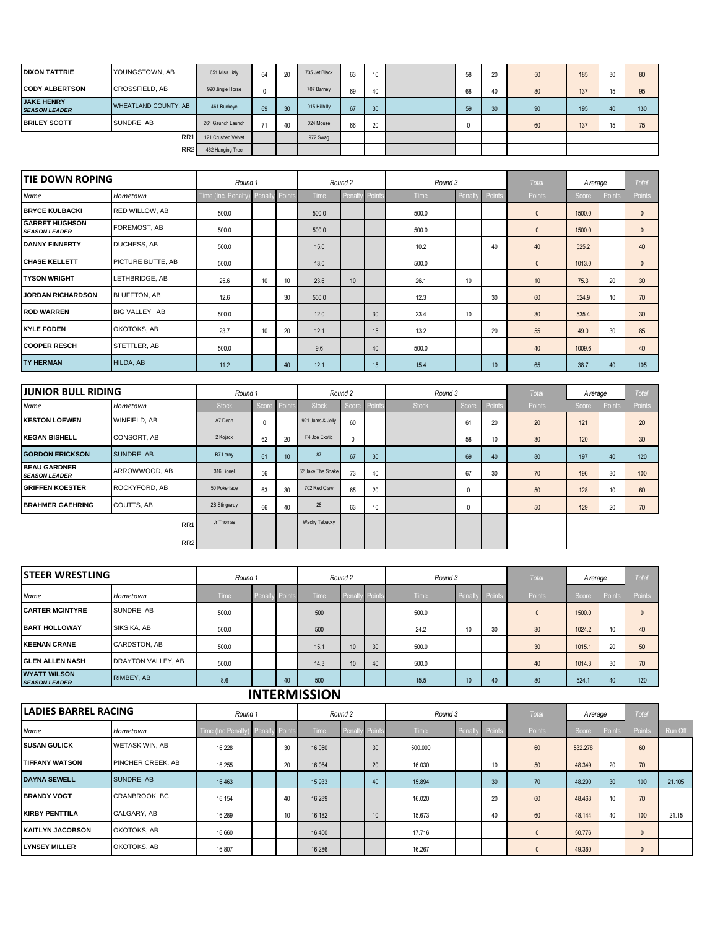| <b>DIXON TATTRIE</b>                      | YOUNGSTOWN, AB              | 651 Miss Lizly     | 64            | 20 | 735 Jet Black | 63 | 10 <sup>°</sup> | 58 | 20 | 50 | 185 | 30 | 80  |
|-------------------------------------------|-----------------------------|--------------------|---------------|----|---------------|----|-----------------|----|----|----|-----|----|-----|
| <b>CODY ALBERTSON</b>                     | CROSSFIELD, AB              | 990 Jingle Horse   |               |    | 707 Barney    | 69 | 40              | 68 | 40 | 80 | 137 | 15 | 95  |
| <b>JAKE HENRY</b><br><b>SEASON LEADER</b> | <b>WHEATLAND COUNTY, AB</b> | 461 Buckeye        | 69            | 30 | 015 Hillbilly | 67 | 30              | 59 | 30 | 90 | 195 | 40 | 130 |
| <b>IBRILEY SCOTT</b>                      | SUNDRE, AB                  | 261 Gaunch Launch  | $\mathcal{L}$ | 40 | 024 Mouse     | 66 | 20              |    |    | 60 | 137 | 15 | 75  |
|                                           | RR <sub>1</sub>             | 121 Crushed Velvet |               |    | 972 Swag      |    |                 |    |    |    |     |    |     |
|                                           | RR <sub>2</sub>             | 462 Hanging Tree   |               |    |               |    |                 |    |    |    |     |    |     |

| <b>TIE DOWN ROPING</b>                        |                          | Round 1            |               |                 |             | Round 2 |               | Round 3     |       |        | <b>Total</b> | Average |        | Total         |
|-----------------------------------------------|--------------------------|--------------------|---------------|-----------------|-------------|---------|---------------|-------------|-------|--------|--------------|---------|--------|---------------|
| Name                                          | Hometown                 | Time (Inc. Penalty | <b>Penalt</b> | Points          | <b>Time</b> | Penalt  | <b>Points</b> | <b>Time</b> | Penal | Points | Points       | Score   | Points | <b>Points</b> |
| <b>BRYCE KULBACKI</b>                         | <b>RED WILLOW, AB</b>    | 500.0              |               |                 | 500.0       |         |               | 500.0       |       |        | $\mathbf{0}$ | 1500.0  |        | $\mathbf{0}$  |
| <b>GARRET HUGHSON</b><br><b>SEASON LEADER</b> | FOREMOST, AB             | 500.0              |               |                 | 500.0       |         |               | 500.0       |       |        | $\mathbf 0$  | 1500.0  |        | $\mathbf{0}$  |
| <b>DANNY FINNERTY</b>                         | DUCHESS, AB              | 500.0              |               |                 | 15.0        |         |               | 10.2        |       | 40     | 40           | 525.2   |        | 40            |
| <b>CHASE KELLETT</b>                          | <b>PICTURE BUTTE, AB</b> | 500.0              |               |                 | 13.0        |         |               | 500.0       |       |        | $\mathbf{0}$ | 1013.0  |        | $\mathbf{0}$  |
| <b>TYSON WRIGHT</b>                           | LETHBRIDGE, AB           | 25.6               | 10            | 10 <sup>°</sup> | 23.6        | 10      |               | 26.1        | 10    |        | 10           | 75.3    | 20     | 30            |
| <b>JORDAN RICHARDSON</b>                      | <b>BLUFFTON, AB</b>      | 12.6               |               | 30              | 500.0       |         |               | 12.3        |       | 30     | 60           | 524.9   | 10     | 70            |
| <b>ROD WARREN</b>                             | <b>BIG VALLEY, AB</b>    | 500.0              |               |                 | 12.0        |         | 30            | 23.4        | 10    |        | 30           | 535.4   |        | 30            |
| <b>KYLE FODEN</b>                             | OKOTOKS, AB              | 23.7               | 10            | 20              | 12.1        |         | 15            | 13.2        |       | 20     | 55           | 49.0    | 30     | 85            |
| <b>COOPER RESCH</b>                           | STETTLER, AB             | 500.0              |               |                 | 9.6         |         | 40            | 500.0       |       |        | 40           | 1009.6  |        | 40            |
| <b>TY HERMAN</b>                              | HILDA, AB                | 11.2               |               | 40              | 12.1        |         | 15            | 15.4        |       | 10     | 65           | 38.7    | 40     | 105           |

| <b>JUNIOR BULL RIDING</b>                   |                     | Round 1      |              |                 |                   | Round 2 |         | Round 3      |       |        | <b>Total</b> | Average |        | Total         |
|---------------------------------------------|---------------------|--------------|--------------|-----------------|-------------------|---------|---------|--------------|-------|--------|--------------|---------|--------|---------------|
| Name                                        | Hometown            | <b>Stock</b> | Score        | Points          | <b>Stock</b>      | Score   | Points. | <b>Stock</b> | Score | Points | Points       | Score   | Points | <b>Points</b> |
| <b>KESTON LOEWEN</b>                        | <b>WINFIELD, AB</b> | A7 Dean      | $\mathbf{0}$ |                 | 921 Jams & Jelly  | 60      |         |              | 61    | 20     | 20           | 121     |        | 20            |
| <b>KEGAN BISHELL</b>                        | <b>CONSORT, AB</b>  | 2 Kojack     | 62           | 20              | F4 Joe Exotic     | 0       |         |              | 58    | 10     | 30           | 120     |        | 30            |
| <b>GORDON ERICKSON</b>                      | <b>SUNDRE, AB</b>   | B7 Leroy     | 61           | 10 <sup>°</sup> | 87                | 67      | 30      |              | 69    | 40     | 80           | 197     | 40     | 120           |
| <b>BEAU GARDNER</b><br><b>SEASON LEADER</b> | ARROWWOOD, AB       | 316 Lionel   | 56           |                 | 62 Jake The Snake | 73      | 40      |              | 67    | 30     | 70           | 196     | 30     | 100           |
| <b>GRIFFEN KOESTER</b>                      | ROCKYFORD, AB       | 50 Pokerface | 63           | 30              | 702 Red Claw      | 65      | 20      |              | 0     |        | 50           | 128     | 10     | 60            |
| <b>BRAHMER GAEHRING</b>                     | COUTTS, AB          | 2B Stingwray | 66           | 40              | 28                | 63      | 10      |              | 0     |        | 50           | 129     | 20     | 70            |
|                                             | RR <sub>1</sub>     | Jr Thomas    |              |                 | Wacky Tabacky     |         |         |              |       |        |              |         |        |               |
|                                             | RR <sub>2</sub>     |              |              |                 |                   |         |         |              |       |        |              |         |        |               |

| <b>ISTEER WRESTLING</b>                     |                           | Round 1 |        |           |      | Round 2               |    | Round 3 |    |                | Total        | Average |        | <b>Total</b> |
|---------------------------------------------|---------------------------|---------|--------|-----------|------|-----------------------|----|---------|----|----------------|--------------|---------|--------|--------------|
| Name                                        | Hometown                  | Time    | Penalt | ty Points | Time | <b>Penalty Points</b> |    | Time    |    | Penalty Points | Points       | Score   | Points | Points       |
| <b>CARTER MCINTYRE</b>                      | SUNDRE, AB                | 500.0   |        |           | 500  |                       |    | 500.0   |    |                | $\mathbf{0}$ | 1500.0  |        |              |
| <b>BART HOLLOWAY</b>                        | SIKSIKA, AB               | 500.0   |        |           | 500  |                       |    | 24.2    | 10 | 30             | 30           | 1024.2  | 10     | 40           |
| <b>KEENAN CRANE</b>                         | CARDSTON, AB              | 500.0   |        |           | 15.1 | 10                    | 30 | 500.0   |    |                | 30           | 1015.1  | 20     | 50           |
| <b>GLEN ALLEN NASH</b>                      | <b>DRAYTON VALLEY, AB</b> | 500.0   |        |           | 14.3 | 10 <sup>°</sup>       | 40 | 500.0   |    |                | 40           | 1014.3  | 30     | 70           |
| <b>WYATT WILSON</b><br><b>SEASON LEADER</b> | RIMBEY, AB                | 8.6     |        | 40        | 500  |                       |    | 15.5    | 10 | 40             | 80           | 524.1   | 40     | 120          |

## **INTERMISSION**

| <b>LADIES BARREL RACING</b> |                          | Round 1                    |        |             | Round 2        |                 | Round 3     |                 | Total        | Average |                 | <b>Total</b>     |         |
|-----------------------------|--------------------------|----------------------------|--------|-------------|----------------|-----------------|-------------|-----------------|--------------|---------|-----------------|------------------|---------|
| Name                        | Hometown                 | Time (Inc Penalty) Penalty | Points | <b>Time</b> | Penalty Points |                 | <b>Time</b> | Penalty Points  | Points       | Score   | Points          | Points           | Run Off |
| <b>SUSAN GULICK</b>         | <b>WETASKIWIN, AB</b>    | 16.228                     | 30     | 16.050      |                | 30              | 500,000     |                 | 60           | 532,278 |                 | 60               |         |
| <b>TIFFANY WATSON</b>       | <b>PINCHER CREEK, AB</b> | 16.255                     | 20     | 16.064      |                | 20              | 16.030      | 10              | 50           | 48,349  | 20              | 70               |         |
| <b>DAYNA SEWELL</b>         | SUNDRE, AB               | 16.463                     |        | 15,933      |                | 40              | 15.894      | 30 <sup>°</sup> | 70           | 48.290  | 30              | 100 <sup>1</sup> | 21.105  |
| <b>BRANDY VOGT</b>          | CRANBROOK, BC            | 16.154                     | 40     | 16.289      |                |                 | 16.020      | 20              | 60           | 48.463  | 10 <sup>°</sup> | 70               |         |
| <b>KIRBY PENTTILA</b>       | CALGARY, AB              | 16.289                     | 10     | 16.182      |                | 10 <sup>°</sup> | 15,673      | 40              | 60           | 48.144  | 40              | 100              | 21.15   |
| <b>KAITLYN JACOBSON</b>     | OKOTOKS, AB              | 16,660                     |        | 16,400      |                |                 | 17.716      |                 | $\mathbf{0}$ | 50,776  |                 | $\mathbf{0}$     |         |
| <b>LYNSEY MILLER</b>        | OKOTOKS, AB              | 16.807                     |        | 16.286      |                |                 | 16.267      |                 | $\Omega$     | 49.360  |                 | $\mathbf{0}$     |         |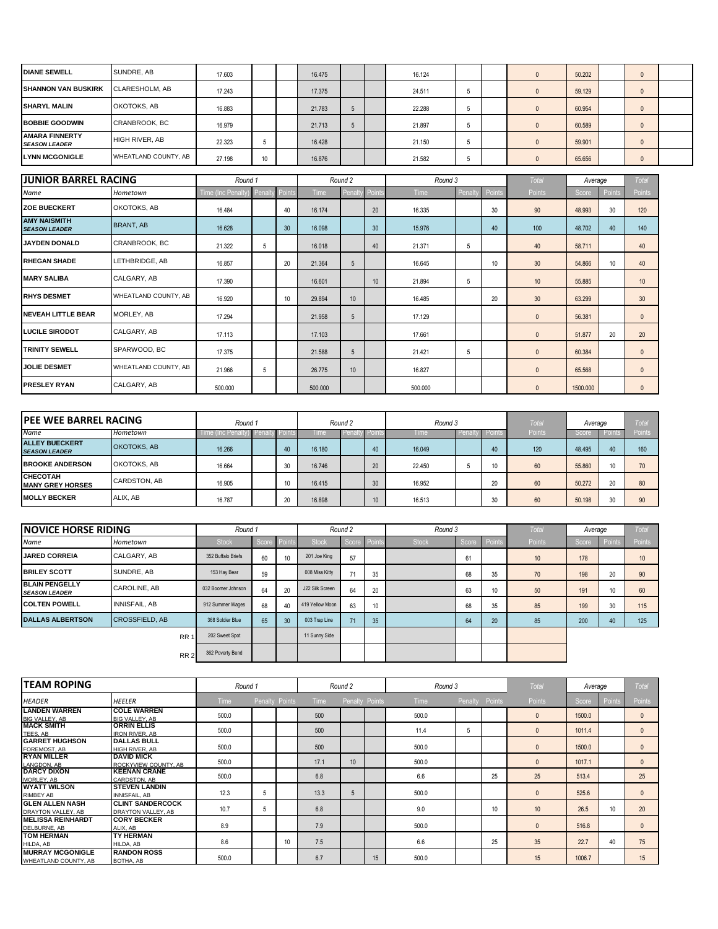| <b>DIANE SEWELL</b>                           | SUNDRE, AB            | 17,603 |    | 16.475 |  | 16.124 |  | 50,202 | $\Omega$     |  |
|-----------------------------------------------|-----------------------|--------|----|--------|--|--------|--|--------|--------------|--|
| <b>SHANNON VAN BUSKIRK</b>                    | <b>CLARESHOLM, AB</b> | 17.243 |    | 17.375 |  | 24.511 |  | 59.129 | $\mathbf{0}$ |  |
| <b>SHARYL MALIN</b>                           | OKOTOKS, AB           | 16.883 |    | 21.783 |  | 22.288 |  | 60.954 | $\mathbf{0}$ |  |
| <b>BOBBIE GOODWIN</b>                         | CRANBROOK, BC         | 16.979 |    | 21.713 |  | 21.897 |  | 60,589 | $\mathbf{0}$ |  |
| <b>AMARA FINNERTY</b><br><b>SEASON LEADER</b> | <b>HIGH RIVER, AB</b> | 22.323 | э  | 16.428 |  | 21.150 |  | 59,901 | $\mathbf{0}$ |  |
| <b>LYNN MCGONIGLE</b>                         | WHEATLAND COUNTY, AB  | 27.198 | 10 | 16,876 |  | 21.582 |  | 65.656 | $\Omega$     |  |

| <b>JUNIOR BARREL RACING</b>                 |                      | Round 1           |        |        |         | Round 2 |        | Round 3 |         |        | Total           | Average  |        | Total         |
|---------------------------------------------|----------------------|-------------------|--------|--------|---------|---------|--------|---------|---------|--------|-----------------|----------|--------|---------------|
| Name                                        | Hometown             | Time (Inc Penalt) | Penalt | Points | Time    | Penalt  | Points | Time    | Penalty | Points | Points          | Score    | Points | <b>Points</b> |
| <b>ZOE BUECKERT</b>                         | OKOTOKS, AB          | 16.484            |        | 40     | 16.174  |         | 20     | 16.335  |         | 30     | 90              | 48.993   | 30     | 120           |
| <b>AMY NAISMITH</b><br><b>SEASON LEADER</b> | <b>BRANT, AB</b>     | 16.628            |        | 30     | 16.098  |         | 30     | 15.976  |         | 40     | 100             | 48.702   | 40     | 140           |
| <b>JAYDEN DONALD</b>                        | CRANBROOK, BC        | 21.322            | 5      |        | 16.018  |         | 40     | 21.371  | 5       |        | 40              | 58.711   |        | 40            |
| <b>RHEGAN SHADE</b>                         | LETHBRIDGE, AB       | 16.857            |        | 20     | 21.364  | 5       |        | 16.645  |         | 10     | 30              | 54.866   | 10     | 40            |
| <b>MARY SALIBA</b>                          | CALGARY, AB          | 17.390            |        |        | 16.601  |         | 10     | 21.894  | 5       |        | 10              | 55.885   |        | 10            |
| <b>RHYS DESMET</b>                          | WHEATLAND COUNTY, AB | 16.920            |        | 10     | 29.894  | 10      |        | 16.485  |         | 20     | 30 <sup>°</sup> | 63.299   |        | 30            |
| <b>INEVEAH LITTLE BEAR</b>                  | MORLEY, AB           | 17.294            |        |        | 21.958  | 5       |        | 17.129  |         |        | $\mathbf{0}$    | 56.381   |        | $\mathbf{0}$  |
| <b>LUCILE SIRODOT</b>                       | CALGARY, AB          | 17.113            |        |        | 17.103  |         |        | 17.661  |         |        | $\mathbf{0}$    | 51.877   | 20     | 20            |
| <b>TRINITY SEWELL</b>                       | SPARWOOD, BC         | 17.375            |        |        | 21.588  | 5       |        | 21.421  | 5       |        | $\mathbf{0}$    | 60.384   |        | $\mathbf{0}$  |
| <b>JOLIE DESMET</b>                         | WHEATLAND COUNTY, AB | 21.966            | 5      |        | 26,775  | 10      |        | 16.827  |         |        | $\mathbf{0}$    | 65.568   |        | $\mathbf{0}$  |
| <b>PRESLEY RYAN</b>                         | CALGARY, AB          | 500.000           |        |        | 500.000 |         |        | 500.000 |         |        | $\mathbf{0}$    | 1500.000 |        | $\mathbf{0}$  |

| <b>IPEE WEE BARREL RACING</b>                 |              | Round 1          |                 |    | Round 2 |           |    | Round 3 |       |          | Tota   | Average |    | Tota          |
|-----------------------------------------------|--------------|------------------|-----------------|----|---------|-----------|----|---------|-------|----------|--------|---------|----|---------------|
| Name                                          | Hometown     | Time (Inc Penalt | ) Penaity Point |    | l ime   | I Penalty |    | l ime   | Penal | v Points | Points | Score   |    | <b>Points</b> |
| <b>ALLEY BUECKERT</b><br><b>SEASON LEADER</b> | OKOTOKS, AB  | 16.266           |                 |    | 16.180  |           | 40 | 16.049  |       | 40       | 120    | 48.495  | 40 | 160           |
| <b>BROOKE ANDERSON</b>                        | OKOTOKS, AB  | 16.664           |                 |    | 16,746  |           | 20 | 22,450  |       |          | 60     | 55,860  | 10 | 70            |
| <b>CHECOTAH</b><br><b>MANY GREY HORSES</b>    | CARDSTON, AB | 16.905           |                 | 10 | 16.415  |           | 30 | 16.952  |       | 20       | 60     | 50.272  | 20 | 80            |
| <b>MOLLY BECKER</b>                           | ALIX. AB     | 16.787           |                 | 20 | 16,898  |           |    | 16.513  |       | 30       | 60     | 50.198  | 30 | 90            |

| <b>NOVICE HORSE RIDING</b>                    |                       | Round 1            |       |                 | Round 2         |       |      | Round 3      |       |        | <b>Total</b> | Average |        | <b>Total</b>  |
|-----------------------------------------------|-----------------------|--------------------|-------|-----------------|-----------------|-------|------|--------------|-------|--------|--------------|---------|--------|---------------|
| <b>Name</b>                                   | Hometown              | <b>Stock</b>       | Score | <b>F</b> POINTS | <b>Stock</b>    | Score | Poin | <b>Stock</b> | Score | Points | Points       | Score   | Points | <b>Points</b> |
| <b>JARED CORREIA</b>                          | CALGARY, AB           | 352 Buffalo Briefs | 60    | 10              | 201 Joe King    | 57    |      |              | 61    |        | 10           | 178     |        | 10            |
| <b>BRILEY SCOTT</b>                           | SUNDRE, AB            | 153 Hay Bear       | 59    |                 | 008 Miss Kitty  | 71    | 35   |              | 68    | 35     | 70           | 198     | 20     | 90            |
| <b>BLAIN PENGELLY</b><br><b>SEASON LEADER</b> | <b>CAROLINE, AB</b>   | 032 Boomer Johnson | 64    | 20              | J22 Silk Screen | 64    | 20   |              | 63    | 10     | 50           | 191     | 10     | 60            |
| <b>COLTEN POWELL</b>                          | <b>INNISFAIL, AB</b>  | 912 Summer Wages   | 68    | 40              | 419 Yellow Moon | 63    | 10   |              | 68    | 35     | 85           | 199     | 30     | 115           |
| <b>DALLAS ALBERTSON</b>                       | <b>CROSSFIELD, AB</b> | 368 Soldier Blue   | 65    | 30              | 003 Trap Line   | 71    | 35   |              | 64    | 20     | 85           | 200     | 40     | 125           |
|                                               | RR <sub>1</sub>       | 202 Sweet Spot     |       |                 | 11 Sunny Side   |       |      |              |       |        |              |         |        |               |
|                                               | RR <sub>2</sub>       | 362 Poverty Bend   |       |                 |                 |       |      |              |       |        |              |         |        |               |

| <b>TEAM ROPING</b>                              |                                               | Round 1     |   |                | Round 2     |                 |    | Round 3     | Total   | Average |               | Total  |        |               |
|-------------------------------------------------|-----------------------------------------------|-------------|---|----------------|-------------|-----------------|----|-------------|---------|---------|---------------|--------|--------|---------------|
| <b>HEADER</b>                                   | <b>HEELER</b>                                 | <b>Time</b> |   | Penalty Points | <b>Time</b> | Penalty Points  |    | <b>Time</b> | Penalty | Points  | <b>Points</b> | Score  | Points | <b>Points</b> |
| <b>LANDEN WARREN</b><br><b>BIG VALLEY, AB</b>   | <b>COLE WARREN</b><br><b>BIG VALLEY, AB</b>   | 500.0       |   |                | 500         |                 |    | 500.0       |         |         |               | 1500.0 |        | $\mathbf{0}$  |
| <b>MACK SMITH</b><br>TEES, AB                   | <b>ORRIN ELLIS</b><br><b>IRON RIVER, AB</b>   | 500.0       |   |                | 500         |                 |    | 11.4        | 5       |         |               | 1011.4 |        | $\mathbf{0}$  |
| <b>GARRET HUGHSON</b><br>FOREMOST, AB           | <b>DALLAS BULL</b><br>HIGH RIVER, AB          | 500.0       |   |                | 500         |                 |    | 500.0       |         |         | 0             | 1500.0 |        | $\Omega$      |
| <b>RYAN MILLER</b><br>LANGDON, AB               | <b>DAVID MICK</b><br>ROCKYVIEW COUNTY, AB     | 500.0       |   |                | 17.1        | 10 <sup>1</sup> |    | 500.0       |         |         |               | 1017.1 |        | $\Omega$      |
| <b>DARCY DIXON</b><br>MORLEY, AB                | <b>KEENAN CRANE</b><br>CARDSTON, AB           | 500.0       |   |                | 6.8         |                 |    | 6.6         |         | 25      | 25            | 513.4  |        | 25            |
| <b>WYATT WILSON</b><br><b>RIMBEY AB</b>         | <b>STEVEN LANDIN</b><br><b>INNISFAIL, AB</b>  | 12.3        | 5 |                | 13.3        | 5               |    | 500.0       |         |         | $\mathbf{0}$  | 525.6  |        | $\Omega$      |
| <b>GLEN ALLEN NASH</b><br>DRAYTON VALLEY, AB    | <b>CLINT SANDERCOCK</b><br>DRAYTON VALLEY, AB | 10.7        | 5 |                | 6.8         |                 |    | 9.0         |         | 10      | 10            | 26.5   | 10     | 20            |
| <b>MELISSA REINHARDT</b><br>DELBURNE, AB        | <b>CORY BECKER</b><br>ALIX, AB                | 8.9         |   |                | 7.9         |                 |    | 500.0       |         |         | $\mathbf{0}$  | 516.8  |        | $\Omega$      |
| <b>TOM HERMAN</b><br>HILDA, AB                  | <b>TY HERMAN</b><br>HILDA, AB                 | 8.6         |   | 10             | 7.5         |                 |    | 6.6         |         | 25      | 35            | 22.7   | 40     | 75            |
| <b>MURRAY MCGONIGLE</b><br>WHEATLAND COUNTY, AB | <b>RANDON ROSS</b><br>BOTHA, AB               | 500.0       |   |                | 6.7         |                 | 15 | 500.0       |         |         | 15            | 1006.7 |        | 15            |